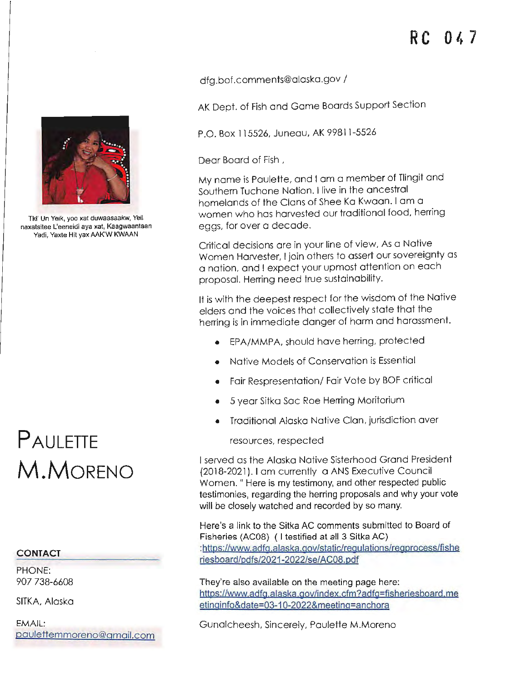[dfg.bof.comments@alaska.gov](mailto:dfg.bof.comments@alaska.gov) /

AK Dept. of Fish and Game Boards Support Section

P.O. Box 115526, Juneau, **AK** 99811-5526

Dear Board of Fish ,

My name is Paulette, and I om a member of Tlingit and Southern Tuchone Nation. I live in the ancestral homelands of the Clans of Shee Ko Kwaan. I am a women who has harvested our traditional food, herring eggs, for over a decade.

Critical decisions ore in your line of view, As a Native Women Harvester, I join others to assert our sovereignty as a nation, and I expect your upmost attention on each proposal. Herring need true sustainability.

It is with the deepest respect for the wisdom of the Native elders and the voices that collectively state that the herring is in immediate danger of harm and harassment.

- EPA/MMPA, should have herring, protected
- Native Models of Conservation is Essential
- Fair Respresentation/ Fair Vote by BOF critical
- 5 year Sitka Soc Roe Herring Moritorium
- Traditional Alaska Native Clan, jurisdiction aver

resources, respected

I served as the Alaska Native Sisterhood Grand President {2018-2021 ). I am currently a ANS Executive Council Women." Here is my testimony, and other respected public testimonies, regarding the herring proposals and why your vote will be closely watched and recorded by so many.

Here's a link to the Sitka AC comments submitted to Board of Fisheries (AC08) ( I testified at all 3 Sitka AC) [:https://www.adfg.aiaska.gov/static/regulations/regprocess/fishe](https://www.adfg.a!aska.gov/static/regu!ations/regprocess/fishe) riesboard/pdfs/2021-2022/se/AC08.pdf

They're also available on the meeting page here: https://www,adfg.alaska,gov/index.cfm?adfg-fisherjesboard,me etinginfo&date=03-10-2022&meeting=anchora

Gunalcheesh, Sincerely, Paulette M.Moreno



Tkl' Un Yeik, yoo xat duwaasaakw, Veil naxatsitee L'eeneidi aya xat, Kaagwaantaan Yadi, Yaxte Hit yax AAK'W KWAAN

## **PAULETTE M.MORENO**

## **CONTACT**

PHONE: 907 738-6608

**SITKA, Alaska** 

**EMAIL:**  [paulettemmoreno@gmail.com](mailto:paulettemmoreno@gmail.com)